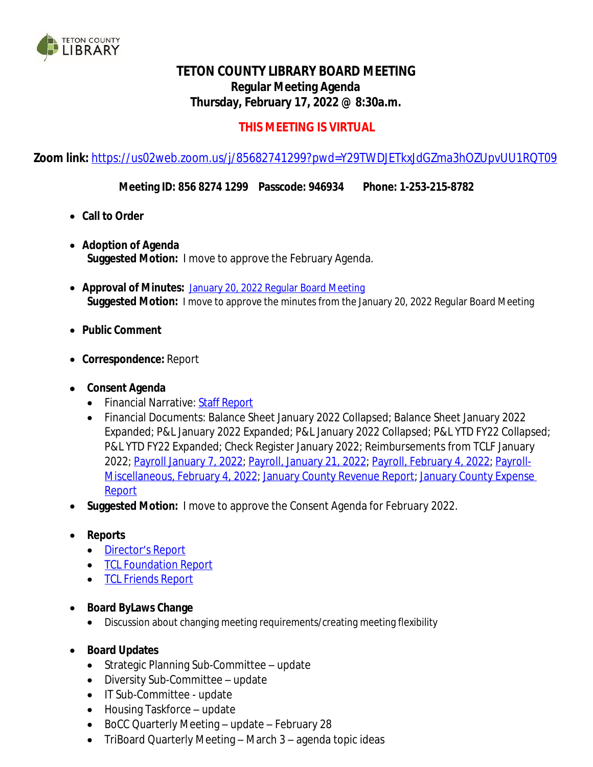

## **TETON COUNTY LIBRARY BOARD MEETING Regular Meeting Agenda Thursday, February 17, 2022 @ 8:30a.m.**

## **THIS MEETING IS VIRTUAL**

**Zoom link:** <https://us02web.zoom.us/j/85682741299?pwd=Y29TWDJETkxJdGZma3hOZUpvUU1RQT09>

**Meeting ID: 856 8274 1299 Passcode: 946934 Phone: 1-253-215-8782**

- **Call to Order**
- **Adoption of Agenda Suggested Motion:** I move to approve the February Agenda.
- **Approval of Minutes:** [January 20, 2022 Regular Board Meeting](https://wy-tetoncountylibrary.civicplus.com/DocumentCenter/View/2690/TCL-Board-Minutes-January-20-2022) **[Suggested](https://wy-tetoncountylibrary.civicplus.com/DocumentCenter/View/2690/TCL-Board-Minutes-January-20-2022) [Motion:](https://wy-tetoncountylibrary.civicplus.com/DocumentCenter/View/2690/TCL-Board-Minutes-January-20-2022)** [I](https://wy-tetoncountylibrary.civicplus.com/DocumentCenter/View/2690/TCL-Board-Minutes-January-20-2022) [move](https://wy-tetoncountylibrary.civicplus.com/DocumentCenter/View/2690/TCL-Board-Minutes-January-20-2022) [to](https://wy-tetoncountylibrary.civicplus.com/DocumentCenter/View/2690/TCL-Board-Minutes-January-20-2022) [approve](https://wy-tetoncountylibrary.civicplus.com/DocumentCenter/View/2690/TCL-Board-Minutes-January-20-2022) [the](https://wy-tetoncountylibrary.civicplus.com/DocumentCenter/View/2690/TCL-Board-Minutes-January-20-2022) [minutes](https://wy-tetoncountylibrary.civicplus.com/DocumentCenter/View/2690/TCL-Board-Minutes-January-20-2022) [from the](https://wy-tetoncountylibrary.civicplus.com/DocumentCenter/View/2690/TCL-Board-Minutes-January-20-2022) [January 20, 2022 Regular Board Meeting](https://wy-tetoncountylibrary.civicplus.com/DocumentCenter/View/2690/TCL-Board-Minutes-January-20-2022)
- **[Public](https://wy-tetoncountylibrary.civicplus.com/DocumentCenter/View/2690/TCL-Board-Minutes-January-20-2022) [Comment](https://wy-tetoncountylibrary.civicplus.com/DocumentCenter/View/2690/TCL-Board-Minutes-January-20-2022)**
- **[Correspondence:](https://wy-tetoncountylibrary.civicplus.com/DocumentCenter/View/2690/TCL-Board-Minutes-January-20-2022)** [Report](https://wy-tetoncountylibrary.civicplus.com/DocumentCenter/View/2690/TCL-Board-Minutes-January-20-2022)
- **[Consent](https://wy-tetoncountylibrary.civicplus.com/DocumentCenter/View/2690/TCL-Board-Minutes-January-20-2022) [Agenda](https://wy-tetoncountylibrary.civicplus.com/DocumentCenter/View/2690/TCL-Board-Minutes-January-20-2022)**
	- [Financial](https://wy-tetoncountylibrary.civicplus.com/DocumentCenter/View/2690/TCL-Board-Minutes-January-20-2022) [Narrative:](https://wy-tetoncountylibrary.civicplus.com/DocumentCenter/View/2690/TCL-Board-Minutes-January-20-2022) Staff [Report](https://wy-tetoncountylibrary.civicplus.com/DocumentCenter/View/2697/January-2022-Financial-Narrative)
	- Financial Documents: Balance Sheet January 2022 Collapsed; Balance Sheet January 2022 Expanded; P&L January 2022 Expanded; P&L January 2022 Collapsed; P&L YTD FY22 Collapsed; P&L YTD FY22 Expanded; Check Register January 2022; Reimbursements from TCLF January 2022; [Payroll January 7, 2022;](https://wy-tetoncountylibrary.civicplus.com/DocumentCenter/View/2696/01072022-LIBRARY-PAYROLL) [Payroll, January 21, 2022;](https://wy-tetoncountylibrary.civicplus.com/DocumentCenter/View/2695/01212022-LIBRARY-PAYROLL) [Payroll, February 4, 2022;](https://wy-tetoncountylibrary.civicplus.com/DocumentCenter/View/2693/02042022-LIBRARY-PAYROLL) [Payroll-](https://wy-tetoncountylibrary.civicplus.com/DocumentCenter/View/2694/02042022-LIBRARY-PAYROLL---MISC)Miscellaneous, February 4, 2022; [January County Revenue Report;](https://wy-tetoncountylibrary.civicplus.com/DocumentCenter/View/2687/2022_01_RevReport) [January County Expense](https://wy-tetoncountylibrary.civicplus.com/DocumentCenter/View/2686/2022_01_ExpDetail)  Report
- **Suggested Motion:** I move to approve the Consent Agenda for February 2022.
- **Reports**
	- [Director](https://wy-tetoncountylibrary.civicplus.com/DocumentCenter/View/2699/Staff-Report---Directors-Report-22022)'s [Report](https://wy-tetoncountylibrary.civicplus.com/DocumentCenter/View/2699/Staff-Report---Directors-Report-22022)
	- [TCL](https://wy-tetoncountylibrary.civicplus.com/DocumentCenter/View/2689/TCL-Foundation-Report-Febraury-2022) [Foundation](https://wy-tetoncountylibrary.civicplus.com/DocumentCenter/View/2689/TCL-Foundation-Report-Febraury-2022) [Report](https://wy-tetoncountylibrary.civicplus.com/DocumentCenter/View/2689/TCL-Foundation-Report-Febraury-2022)
	- [TCL](https://wy-tetoncountylibrary.civicplus.com/DocumentCenter/View/2688/TCL-Friends-Report-February-2022) [Friends](https://wy-tetoncountylibrary.civicplus.com/DocumentCenter/View/2688/TCL-Friends-Report-February-2022) [Report](https://wy-tetoncountylibrary.civicplus.com/DocumentCenter/View/2688/TCL-Friends-Report-February-2022)
- **Board ByLaws Change**
	- Discussion about changing meeting requirements/creating meeting flexibility
- **Board Updates**
	- Strategic Planning Sub-Committee update
	- Diversity Sub-Committee update
	- IT Sub-Committee update
	- Housing Taskforce update
	- BoCC Quarterly Meeting update February 28
	- TriBoard Quarterly Meeting March 3 agenda topic ideas